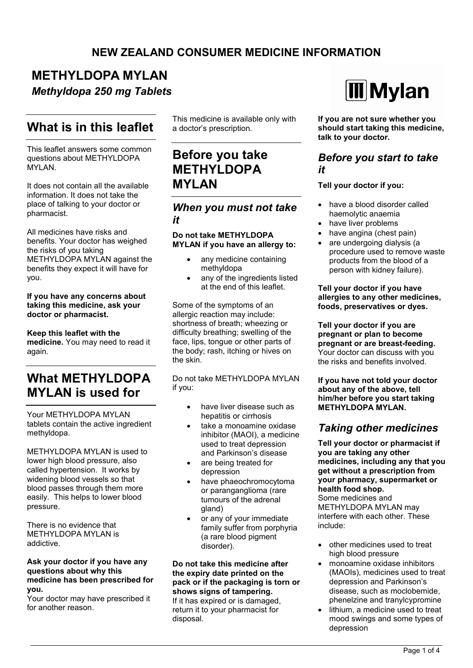### **NEW ZEALAND CONSUMER MEDICINE INFORMATION**

# **METHYLDOPA MYLAN**

*Methyldopa 250 mg Tablets*

## **What is in this leaflet**

This leaflet answers some common questions about METHYLDOPA MYLAN.

It does not contain all the available information. It does not take the place of talking to your doctor or pharmacist.

All medicines have risks and benefits. Your doctor has weighed the risks of you taking METHYLDOPA MYLAN against the benefits they expect it will have for you.

#### **If you have any concerns about taking this medicine, ask your doctor or pharmacist.**

**Keep this leaflet with the medicine.** You may need to read it again.

## **What MFTHYLDOPA MYLAN is used for**

Your METHYLDOPA MYLAN tablets contain the active ingredient methyldopa.

METHYLDOPA MYLAN is used to lower high blood pressure, also called hypertension. It works by widening blood vessels so that blood passes through them more easily. This helps to lower blood pressure.

There is no evidence that METHYLDOPA MYLAN is addictive.

#### **Ask your doctor if you have any questions about why this medicine has been prescribed for you.**

Your doctor may have prescribed it for another reason.

This medicine is available only with a doctor's prescription.

## **Before you take METHYLDOPA MYLAN**

#### *When you must not take it*

**Do not take METHYLDOPA MYLAN if you have an allergy to:**

- any medicine containing methyldopa
- any of the ingredients listed at the end of this leaflet.

Some of the symptoms of an allergic reaction may include: shortness of breath; wheezing or difficulty breathing; swelling of the face, lips, tongue or other parts of the body; rash, itching or hives on the skin.

Do not take METHYLDOPA MYLAN if you:

- have liver disease such as hepatitis or cirrhosis
- take a monoamine oxidase inhibitor (MAOI), a medicine used to treat depression and Parkinson's disease
- are being treated for depression
- have phaeochromocytoma or paranganglioma (rare tumours of the adrenal gland)
- or any of your immediate family suffer from porphyria (a rare blood pigment disorder).

**Do not take this medicine after the expiry date printed on the pack or if the packaging is torn or shows signs of tampering.** If it has expired or is damaged, return it to your pharmacist for disposal.



**If you are not sure whether you should start taking this medicine, talk to your doctor.**

### *Before you start to take it*

#### **Tell your doctor if you:**

- have a blood disorder called haemolytic anaemia
- have liver problems
- have angina (chest pain)
- are undergoing dialysis (a procedure used to remove waste products from the blood of a person with kidney failure).

**Tell your doctor if you have allergies to any other medicines, foods, preservatives or dyes.**

**Tell your doctor if you are pregnant or plan to become pregnant or are breast-feeding.** Your doctor can discuss with you the risks and benefits involved.

**If you have not told your doctor about any of the above, tell him/her before you start taking METHYLDOPA MYLAN.**

### *Taking other medicines*

**Tell your doctor or pharmacist if you are taking any other medicines, including any that you get without a prescription from your pharmacy, supermarket or health food shop.**

Some medicines and METHYLDOPA MYLAN may interfere with each other. These include:

- other medicines used to treat high blood pressure
- monoamine oxidase inhibitors (MAOIs), medicines used to treat depression and Parkinson's disease, such as moclobemide, phenelzine and tranylcypromine
- lithium, a medicine used to treat mood swings and some types of depression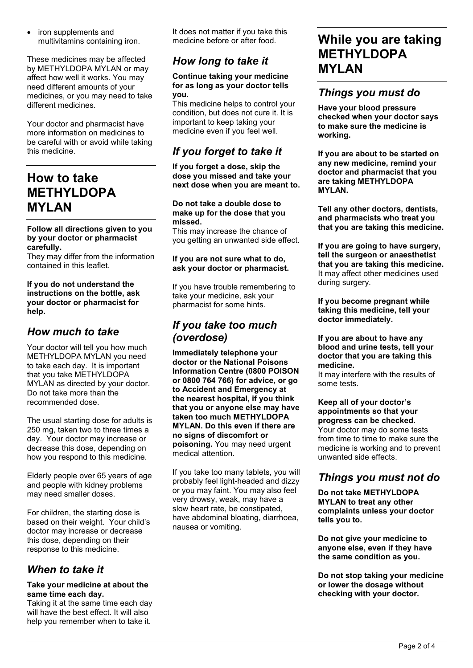• iron supplements and multivitamins containing iron.

These medicines may be affected by METHYLDOPA MYLAN or may affect how well it works. You may need different amounts of your medicines, or you may need to take different medicines.

Your doctor and pharmacist have more information on medicines to be careful with or avoid while taking this medicine.

## **How to take METHYLDOPA MYLAN**

#### **Follow all directions given to you by your doctor or pharmacist carefully.**

They may differ from the information contained in this leaflet.

#### **If you do not understand the instructions on the bottle, ask your doctor or pharmacist for help.**

### *How much to take*

Your doctor will tell you how much METHYLDOPA MYLAN you need to take each day. It is important that you take METHYLDOPA MYLAN as directed by your doctor. Do not take more than the recommended dose.

The usual starting dose for adults is 250 mg, taken two to three times a day. Your doctor may increase or decrease this dose, depending on how you respond to this medicine.

Elderly people over 65 years of age and people with kidney problems may need smaller doses.

For children, the starting dose is based on their weight. Your child's doctor may increase or decrease this dose, depending on their response to this medicine.

### *When to take it*

#### **Take your medicine at about the same time each day.**

Taking it at the same time each day will have the best effect. It will also help you remember when to take it.

It does not matter if you take this medicine before or after food.

## *How long to take it*

#### **Continue taking your medicine for as long as your doctor tells you.**

This medicine helps to control your condition, but does not cure it. It is important to keep taking your medicine even if you feel well.

## *If you forget to take it*

**If you forget a dose, skip the dose you missed and take your next dose when you are meant to.**

**Do not take a double dose to make up for the dose that you missed.**

This may increase the chance of you getting an unwanted side effect.

#### **If you are not sure what to do, ask your doctor or pharmacist.**

If you have trouble remembering to take your medicine, ask your pharmacist for some hints.

### *If you take too much (overdose)*

**Immediately telephone your doctor or the National Poisons Information Centre (0800 POISON or 0800 764 766) for advice, or go to Accident and Emergency at the nearest hospital, if you think that you or anyone else may have taken too much METHYLDOPA MYLAN. Do this even if there are no signs of discomfort or poisoning.** You may need urgent medical attention.

If you take too many tablets, you will probably feel light-headed and dizzy or you may faint. You may also feel very drowsy, weak, may have a slow heart rate, be constipated, have abdominal bloating, diarrhoea, nausea or vomiting.

## **While you are taking METHYLDOPA MYLAN**

### *Things you must do*

**Have your blood pressure checked when your doctor says to make sure the medicine is working.**

**If you are about to be started on any new medicine, remind your doctor and pharmacist that you are taking METHYLDOPA MYLAN.**

**Tell any other doctors, dentists, and pharmacists who treat you that you are taking this medicine.**

**If you are going to have surgery, tell the surgeon or anaesthetist that you are taking this medicine.** It may affect other medicines used during surgery.

**If you become pregnant while taking this medicine, tell your doctor immediately.**

#### **If you are about to have any blood and urine tests, tell your doctor that you are taking this medicine.**

It may interfere with the results of some tests.

#### **Keep all of your doctor's appointments so that your progress can be checked.**

Your doctor may do some tests from time to time to make sure the medicine is working and to prevent unwanted side effects.

### *Things you must not do*

**Do not take METHYLDOPA MYLAN to treat any other complaints unless your doctor tells you to.**

**Do not give your medicine to anyone else, even if they have the same condition as you.**

**Do not stop taking your medicine or lower the dosage without checking with your doctor.**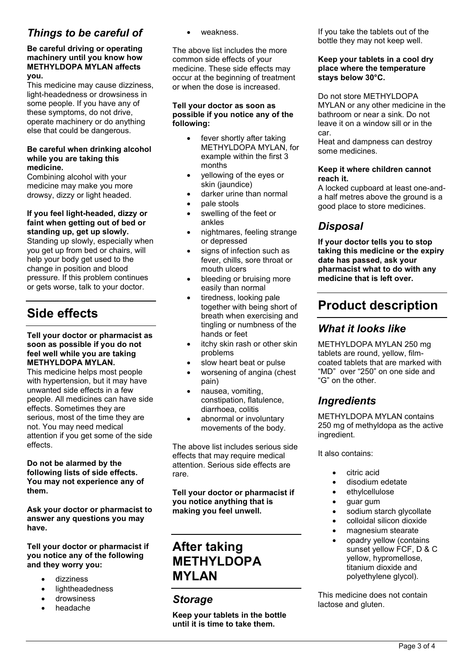### *Things to be careful of*

#### **Be careful driving or operating machinery until you know how METHYLDOPA MYLAN affects you.**

This medicine may cause dizziness, light-headedness or drowsiness in some people. If you have any of these symptoms, do not drive, operate machinery or do anything else that could be dangerous.

#### **Be careful when drinking alcohol while you are taking this medicine.**

Combining alcohol with your medicine may make you more drowsy, dizzy or light headed.

#### **If you feel light-headed, dizzy or faint when getting out of bed or standing up, get up slowly.**

Standing up slowly, especially when you get up from bed or chairs, will help your body get used to the change in position and blood pressure. If this problem continues or gets worse, talk to your doctor.

## **Side effects**

#### **Tell your doctor or pharmacist as soon as possible if you do not feel well while you are taking METHYLDOPA MYLAN.**

This medicine helps most people with hypertension, but it may have unwanted side effects in a few people. All medicines can have side effects. Sometimes they are serious, most of the time they are not. You may need medical attention if you get some of the side effects.

**Do not be alarmed by the following lists of side effects. You may not experience any of them.**

**Ask your doctor or pharmacist to answer any questions you may have.**

**Tell your doctor or pharmacist if you notice any of the following and they worry you:**

- dizziness
- lightheadedness
- drowsiness
- headache

weakness.

The above list includes the more common side effects of your medicine. These side effects may occur at the beginning of treatment or when the dose is increased.

#### **Tell your doctor as soon as possible if you notice any of the following:**

- fever shortly after taking METHYLDOPA MYLAN, for example within the first 3 months
- yellowing of the eyes or skin (jaundice)
- darker urine than normal pale stools
- 
- swelling of the feet or ankles
- nightmares, feeling strange or depressed
- signs of infection such as fever, chills, sore throat or mouth ulcers
- bleeding or bruising more easily than normal
- tiredness, looking pale together with being short of breath when exercising and tingling or numbness of the hands or feet
- itchy skin rash or other skin problems
- slow heart beat or pulse
- worsening of angina (chest pain)
- nausea, vomiting, constipation, flatulence, diarrhoea, colitis
- abnormal or involuntary movements of the body.

The above list includes serious side effects that may require medical attention. Serious side effects are rare.

**Tell your doctor or pharmacist if you notice anything that is making you feel unwell.**

## **After taking METHYLDOPA MYLAN**

### *Storage*

**Keep your tablets in the bottle until it is time to take them.**

If you take the tablets out of the bottle they may not keep well.

#### **Keep your tablets in a cool dry place where the temperature stays below 30°C.**

Do not store METHYLDOPA MYLAN or any other medicine in the bathroom or near a sink. Do not leave it on a window sill or in the car.

Heat and dampness can destroy some medicines.

#### **Keep it where children cannot reach it.**

A locked cupboard at least one-anda half metres above the ground is a good place to store medicines.

## *Disposal*

**If your doctor tells you to stop taking this medicine or the expiry date has passed, ask your pharmacist what to do with any medicine that is left over.**

## **Product description**

### *What it looks like*

METHYLDOPA MYLAN 250 mg tablets are round, yellow, filmcoated tablets that are marked with "MD" over "250" on one side and "G" on the other.

## *Ingredients*

METHYLDOPA MYLAN contains 250 mg of methyldopa as the active ingredient.

It also contains:

- citric acid
- disodium edetate
- ethylcellulose
- guar gum
- sodium starch glycollate
- colloidal silicon dioxide
- magnesium stearate
- opadry yellow (contains sunset yellow FCF, D & C yellow, hypromellose, titanium dioxide and polyethylene glycol).

This medicine does not contain lactose and gluten.